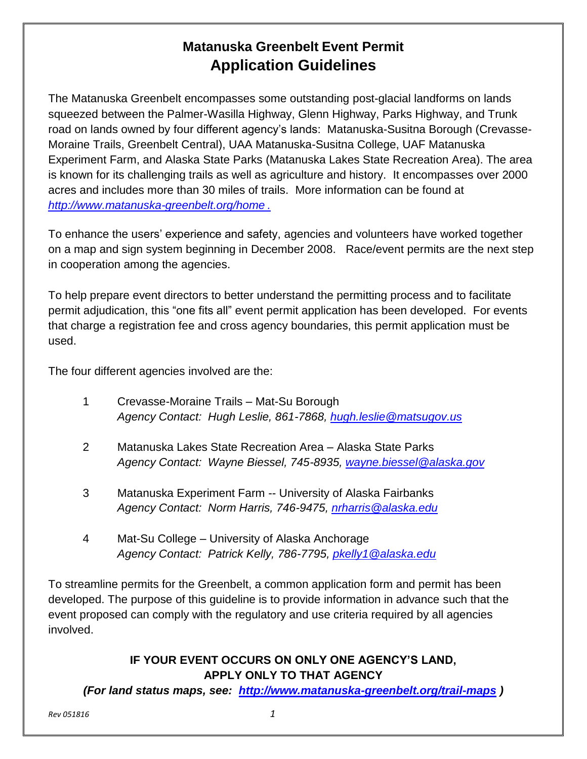# **Matanuska Greenbelt Event Permit Application Guidelines**

The Matanuska Greenbelt encompasses some outstanding post-glacial landforms on lands squeezed between the Palmer-Wasilla Highway, Glenn Highway, Parks Highway, and Trunk road on lands owned by four different agency's lands: Matanuska-Susitna Borough (Crevasse-Moraine Trails, Greenbelt Central), UAA Matanuska-Susitna College, UAF Matanuska Experiment Farm, and Alaska State Parks (Matanuska Lakes State Recreation Area). The area is known for its challenging trails as well as agriculture and history. It encompasses over 2000 acres and includes more than 30 miles of trails. More information can be found at *<http://www.matanuska-greenbelt.org/home> .*

To enhance the users' experience and safety, agencies and volunteers have worked together on a map and sign system beginning in December 2008. Race/event permits are the next step in cooperation among the agencies.

To help prepare event directors to better understand the permitting process and to facilitate permit adjudication, this "one fits all" event permit application has been developed. For events that charge a registration fee and cross agency boundaries, this permit application must be used.

The four different agencies involved are the:

- 1 Crevasse-Moraine Trails Mat-Su Borough *Agency Contact: Hugh Leslie, 861-7868, [hugh.leslie@matsugov.us](mailto:hugh.leslie@matsugov.us)*
- 2 Matanuska Lakes State Recreation Area Alaska State Parks *Agency Contact: Wayne Biessel, 745-8935, [wayne.biessel@alaska.gov](mailto:wayne.biessel@alaska.gov)*
- 3 Matanuska Experiment Farm -- University of Alaska Fairbanks *Agency Contact: Norm Harris, 746-9475, [nrharris@alaska.edu](mailto:nrharris@alaska.edu)*
- 4 Mat-Su College University of Alaska Anchorage *Agency Contact: Patrick Kelly, 786-7795, [pkelly1@alaska.edu](mailto:pkelly1@alaska.edu)*

To streamline permits for the Greenbelt, a common application form and permit has been developed. The purpose of this guideline is to provide information in advance such that the event proposed can comply with the regulatory and use criteria required by all agencies involved.

#### **IF YOUR EVENT OCCURS ON ONLY ONE AGENCY'S LAND, APPLY ONLY TO THAT AGENCY**

*(For land status maps, see: <http://www.matanuska-greenbelt.org/trail-maps> )*

*Rev 051816 1*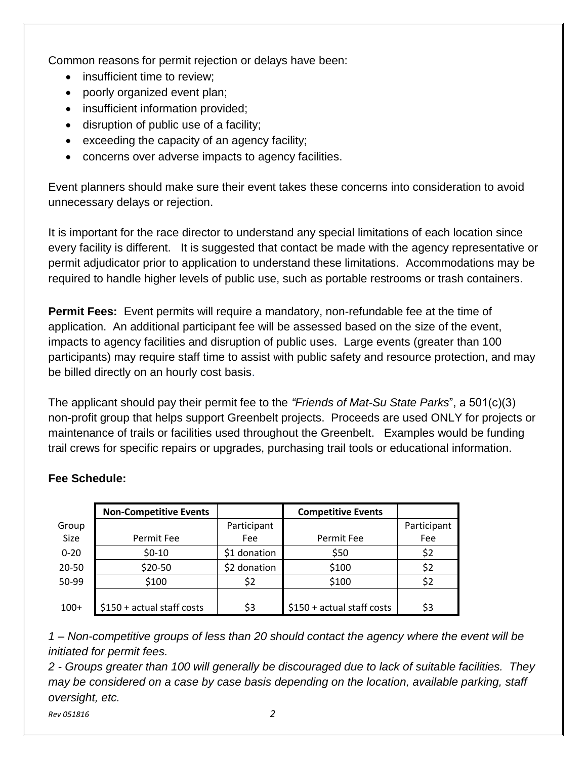Common reasons for permit rejection or delays have been:

- insufficient time to review;
- poorly organized event plan;
- insufficient information provided;
- disruption of public use of a facility;
- exceeding the capacity of an agency facility;
- concerns over adverse impacts to agency facilities.

Event planners should make sure their event takes these concerns into consideration to avoid unnecessary delays or rejection.

It is important for the race director to understand any special limitations of each location since every facility is different. It is suggested that contact be made with the agency representative or permit adjudicator prior to application to understand these limitations. Accommodations may be required to handle higher levels of public use, such as portable restrooms or trash containers.

**Permit Fees:** Event permits will require a mandatory, non-refundable fee at the time of application. An additional participant fee will be assessed based on the size of the event, impacts to agency facilities and disruption of public uses. Large events (greater than 100 participants) may require staff time to assist with public safety and resource protection, and may be billed directly on an hourly cost basis.

The applicant should pay their permit fee to the *"Friends of Mat-Su State Parks*", a 501(c)(3) non-profit group that helps support Greenbelt projects. Proceeds are used ONLY for projects or maintenance of trails or facilities used throughout the Greenbelt. Examples would be funding trail crews for specific repairs or upgrades, purchasing trail tools or educational information.

|          | <b>Non-Competitive Events</b> |              | <b>Competitive Events</b>   |             |
|----------|-------------------------------|--------------|-----------------------------|-------------|
| Group    |                               | Participant  |                             | Participant |
| Size     | Permit Fee                    | <b>Fee</b>   | Permit Fee                  | Fee         |
| $0 - 20$ | $$0-10$                       | \$1 donation | \$50                        | \$2         |
| 20-50    | \$20-50                       | \$2 donation | \$100                       | \$2         |
| 50-99    | \$100                         | \$2          | \$100                       | \$2         |
| $100+$   | $$150 + actual staff costs$   | \$3          | $$150 + actual staff costs$ | \$3         |

### **Fee Schedule:**

*1 – Non-competitive groups of less than 20 should contact the agency where the event will be initiated for permit fees.* 

*2 - Groups greater than 100 will generally be discouraged due to lack of suitable facilities. They may be considered on a case by case basis depending on the location, available parking, staff oversight, etc.*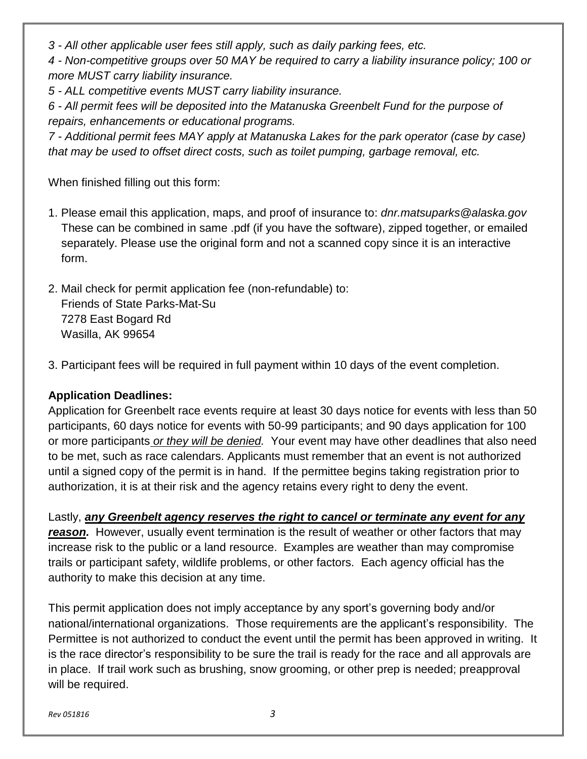*3 - All other applicable user fees still apply, such as daily parking fees, etc.*

*4 - Non-competitive groups over 50 MAY be required to carry a liability insurance policy; 100 or more MUST carry liability insurance.*

*5 - ALL competitive events MUST carry liability insurance.*

*6 - All permit fees will be deposited into the Matanuska Greenbelt Fund for the purpose of repairs, enhancements or educational programs.* 

*7 - Additional permit fees MAY apply at Matanuska Lakes for the park operator (case by case) that may be used to offset direct costs, such as toilet pumping, garbage removal, etc.*

When finished filling out this form:

- 1. Please email this application, maps, and proof of insurance to: *dnr.matsuparks@alaska.gov* These can be combined in same .pdf (if you have the software), zipped together, or emailed separately. Please use the original form and not a scanned copy since it is an interactive form.
- 2. Mail check for permit application fee (non-refundable) to: Friends of State Parks-Mat-Su 7278 East Bogard Rd Wasilla, AK 99654
- 3. Participant fees will be required in full payment within 10 days of the event completion.

#### **Application Deadlines:**

Application for Greenbelt race events require at least 30 days notice for events with less than 50 participants, 60 days notice for events with 50-99 participants; and 90 days application for 100 or more participants *or they will be denied.* Your event may have other deadlines that also need to be met, such as race calendars. Applicants must remember that an event is not authorized until a signed copy of the permit is in hand. If the permittee begins taking registration prior to authorization, it is at their risk and the agency retains every right to deny the event.

Lastly, *any Greenbelt agency reserves the right to cancel or terminate any event for any reason.* However, usually event termination is the result of weather or other factors that may increase risk to the public or a land resource. Examples are weather than may compromise trails or participant safety, wildlife problems, or other factors. Each agency official has the authority to make this decision at any time.

This permit application does not imply acceptance by any sport's governing body and/or national/international organizations. Those requirements are the applicant's responsibility. The Permittee is not authorized to conduct the event until the permit has been approved in writing. It is the race director's responsibility to be sure the trail is ready for the race and all approvals are in place. If trail work such as brushing, snow grooming, or other prep is needed; preapproval will be required.